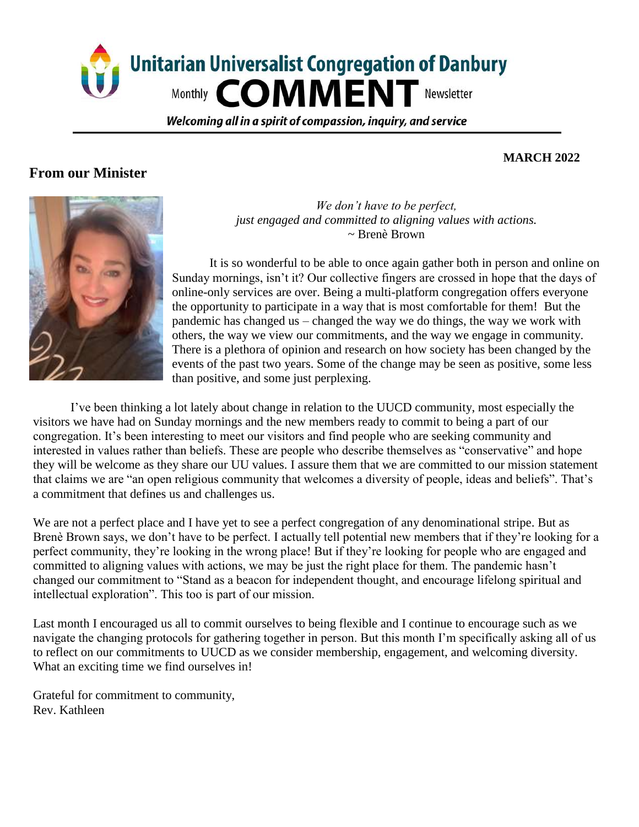

Welcoming all in a spirit of compassion, inguiry, and service

## **From our Minister**

## **MARCH 2022**



*We don't have to be perfect, just engaged and committed to aligning values with actions.*  ~ Brenè Brown

It is so wonderful to be able to once again gather both in person and online on Sunday mornings, isn't it? Our collective fingers are crossed in hope that the days of online-only services are over. Being a multi-platform congregation offers everyone the opportunity to participate in a way that is most comfortable for them! But the pandemic has changed us – changed the way we do things, the way we work with others, the way we view our commitments, and the way we engage in community. There is a plethora of opinion and research on how society has been changed by the events of the past two years. Some of the change may be seen as positive, some less than positive, and some just perplexing.

I've been thinking a lot lately about change in relation to the UUCD community, most especially the visitors we have had on Sunday mornings and the new members ready to commit to being a part of our congregation. It's been interesting to meet our visitors and find people who are seeking community and interested in values rather than beliefs. These are people who describe themselves as "conservative" and hope they will be welcome as they share our UU values. I assure them that we are committed to our mission statement that claims we are "an open religious community that welcomes a diversity of people, ideas and beliefs". That's a commitment that defines us and challenges us.

We are not a perfect place and I have yet to see a perfect congregation of any denominational stripe. But as Brenè Brown says, we don't have to be perfect. I actually tell potential new members that if they're looking for a perfect community, they're looking in the wrong place! But if they're looking for people who are engaged and committed to aligning values with actions, we may be just the right place for them. The pandemic hasn't changed our commitment to "Stand as a beacon for independent thought, and encourage lifelong spiritual and intellectual exploration". This too is part of our mission.

Last month I encouraged us all to commit ourselves to being flexible and I continue to encourage such as we navigate the changing protocols for gathering together in person. But this month I'm specifically asking all of us to reflect on our commitments to UUCD as we consider membership, engagement, and welcoming diversity. What an exciting time we find ourselves in!

Grateful for commitment to community, Rev. Kathleen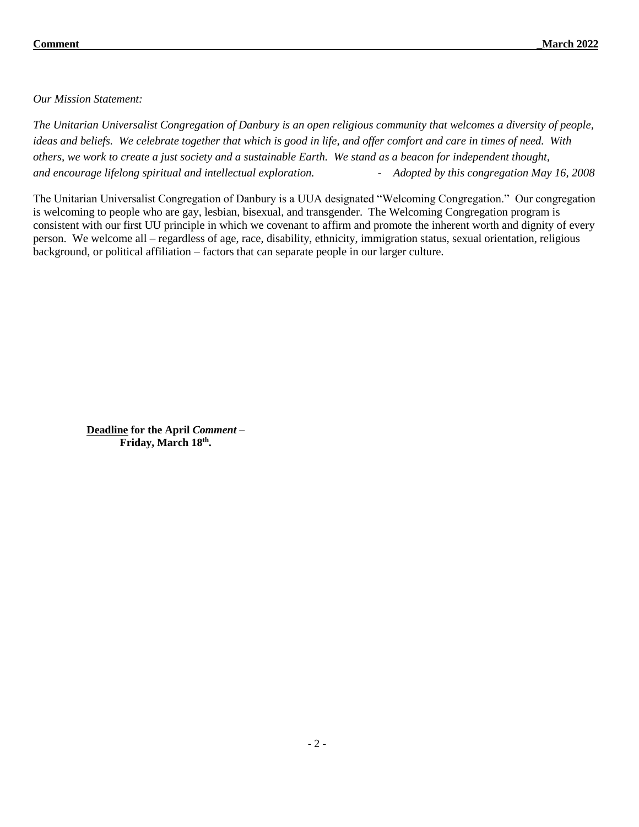*Our Mission Statement:*

*The Unitarian Universalist Congregation of Danbury is an open religious community that welcomes a diversity of people, ideas and beliefs. We celebrate together that which is good in life, and offer comfort and care in times of need. With others, we work to create a just society and a sustainable Earth. We stand as a beacon for independent thought, and encourage lifelong spiritual and intellectual exploration. - Adopted by this congregation May 16, 2008* 

The Unitarian Universalist Congregation of Danbury is a UUA designated "Welcoming Congregation." Our congregation is welcoming to people who are gay, lesbian, bisexual, and transgender. The Welcoming Congregation program is consistent with our first UU principle in which we covenant to affirm and promote the inherent worth and dignity of every person. We welcome all – regardless of age, race, disability, ethnicity, immigration status, sexual orientation, religious background, or political affiliation – factors that can separate people in our larger culture.

**Deadline for the April** *Comment –* **Friday, March 18th .**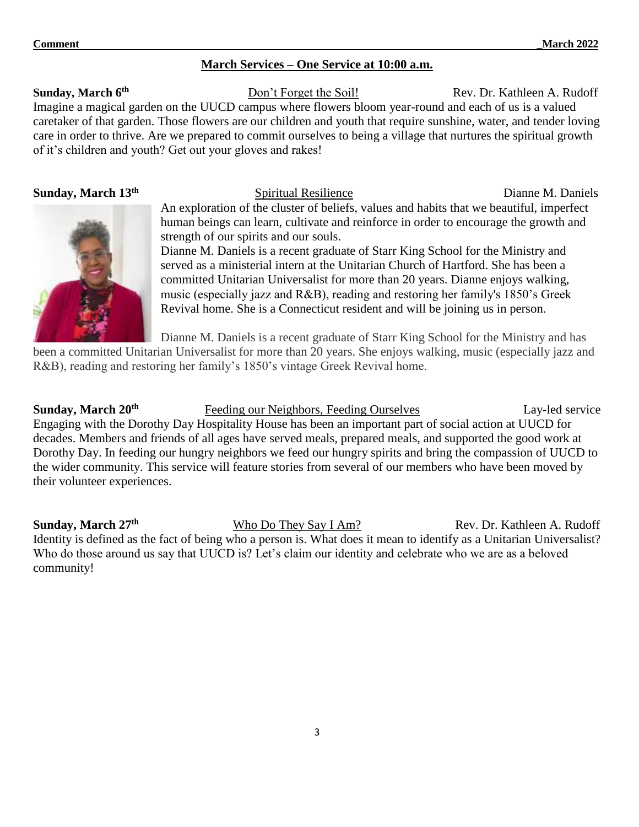## **March Services – One Service at 10:00 a.m.**

### **Sunday, March 6 th**

Don't Forget the Soil! Rev. Dr. Kathleen A. Rudoff Imagine a magical garden on the UUCD campus where flowers bloom year-round and each of us is a valued caretaker of that garden. Those flowers are our children and youth that require sunshine, water, and tender loving care in order to thrive. Are we prepared to commit ourselves to being a village that nurtures the spiritual growth of it's children and youth? Get out your gloves and rakes!

## **Sunday, March 13th**



Dianne M. Daniels is a recent graduate of Starr King School for the Ministry and

served as a ministerial intern at the Unitarian Church of Hartford. She has been a committed Unitarian Universalist for more than 20 years. Dianne enjoys walking, music (especially jazz and R&B), reading and restoring her family's 1850's Greek Revival home. She is a Connecticut resident and will be joining us in person.

Dianne M. Daniels is a recent graduate of Starr King School for the Ministry and has

been a committed Unitarian Universalist for more than 20 years. She enjoys walking, music (especially jazz and R&B), reading and restoring her family's 1850's vintage Greek Revival home.

**Sunday, March 20th Feeding our Neighbors, Feeding Ourselves Lay-led service** Engaging with the Dorothy Day Hospitality House has been an important part of social action at UUCD for decades. Members and friends of all ages have served meals, prepared meals, and supported the good work at Dorothy Day. In feeding our hungry neighbors we feed our hungry spirits and bring the compassion of UUCD to the wider community. This service will feature stories from several of our members who have been moved by their volunteer experiences.

**Sunday, March 27th** Who Do They Say I Am? Rev. Dr. Kathleen A. Rudoff Identity is defined as the fact of being who a person is. What does it mean to identify as a Unitarian Universalist? Who do those around us say that UUCD is? Let's claim our identity and celebrate who we are as a beloved community!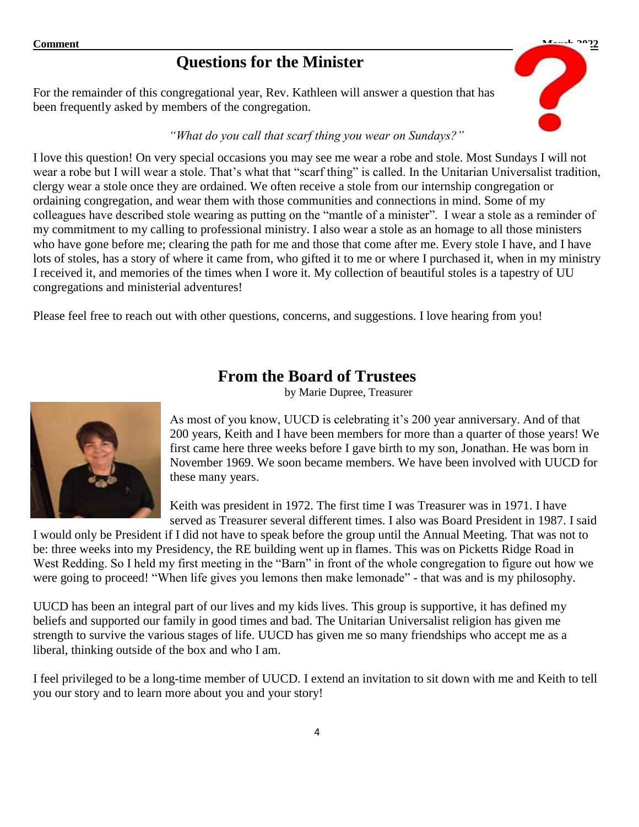# **Questions for the Minister**

For the remainder of this congregational year, Rev. Kathleen will answer a question that has been frequently asked by members of the congregation.

## *"What do you call that scarf thing you wear on Sundays?"*



Please feel free to reach out with other questions, concerns, and suggestions. I love hearing from you!

# **From the Board of Trustees**

by Marie Dupree, Treasurer



As most of you know, UUCD is celebrating it's 200 year anniversary. And of that 200 years, Keith and I have been members for more than a quarter of those years! We first came here three weeks before I gave birth to my son, Jonathan. He was born in November 1969. We soon became members. We have been involved with UUCD for these many years.

Keith was president in 1972. The first time I was Treasurer was in 1971. I have served as Treasurer several different times. I also was Board President in 1987. I said

I would only be President if I did not have to speak before the group until the Annual Meeting. That was not to be: three weeks into my Presidency, the RE building went up in flames. This was on Picketts Ridge Road in West Redding. So I held my first meeting in the "Barn" in front of the whole congregation to figure out how we were going to proceed! "When life gives you lemons then make lemonade" - that was and is my philosophy.

UUCD has been an integral part of our lives and my kids lives. This group is supportive, it has defined my beliefs and supported our family in good times and bad. The Unitarian Universalist religion has given me strength to survive the various stages of life. UUCD has given me so many friendships who accept me as a liberal, thinking outside of the box and who I am.

I feel privileged to be a long-time member of UUCD. I extend an invitation to sit down with me and Keith to tell you our story and to learn more about you and your story!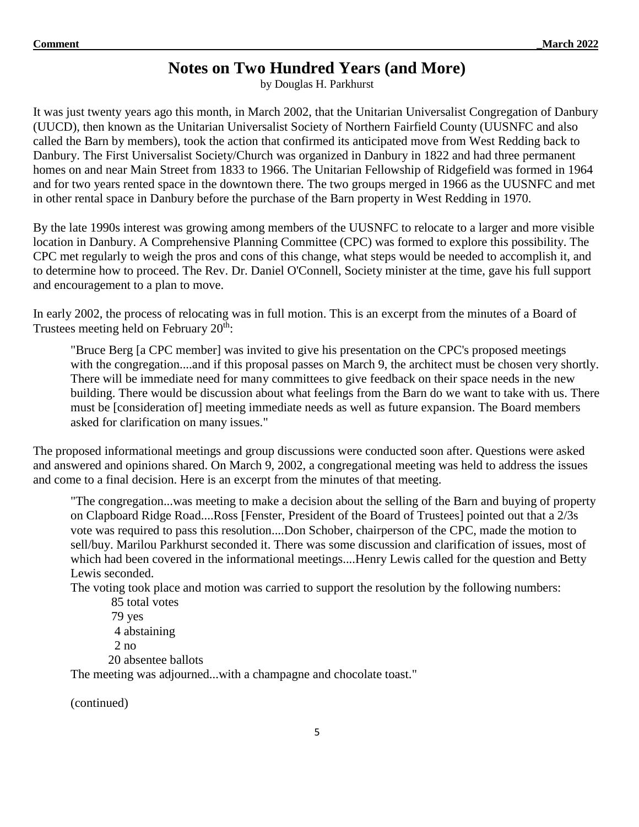# **Notes on Two Hundred Years (and More)**

by Douglas H. Parkhurst

It was just twenty years ago this month, in March 2002, that the Unitarian Universalist Congregation of Danbury (UUCD), then known as the Unitarian Universalist Society of Northern Fairfield County (UUSNFC and also called the Barn by members), took the action that confirmed its anticipated move from West Redding back to Danbury. The First Universalist Society/Church was organized in Danbury in 1822 and had three permanent homes on and near Main Street from 1833 to 1966. The Unitarian Fellowship of Ridgefield was formed in 1964 and for two years rented space in the downtown there. The two groups merged in 1966 as the UUSNFC and met in other rental space in Danbury before the purchase of the Barn property in West Redding in 1970.

By the late 1990s interest was growing among members of the UUSNFC to relocate to a larger and more visible location in Danbury. A Comprehensive Planning Committee (CPC) was formed to explore this possibility. The CPC met regularly to weigh the pros and cons of this change, what steps would be needed to accomplish it, and to determine how to proceed. The Rev. Dr. Daniel O'Connell, Society minister at the time, gave his full support and encouragement to a plan to move.

In early 2002, the process of relocating was in full motion. This is an excerpt from the minutes of a Board of Trustees meeting held on February 20<sup>th</sup>:

"Bruce Berg [a CPC member] was invited to give his presentation on the CPC's proposed meetings with the congregation....and if this proposal passes on March 9, the architect must be chosen very shortly. There will be immediate need for many committees to give feedback on their space needs in the new building. There would be discussion about what feelings from the Barn do we want to take with us. There must be [consideration of] meeting immediate needs as well as future expansion. The Board members asked for clarification on many issues."

The proposed informational meetings and group discussions were conducted soon after. Questions were asked and answered and opinions shared. On March 9, 2002, a congregational meeting was held to address the issues and come to a final decision. Here is an excerpt from the minutes of that meeting.

"The congregation...was meeting to make a decision about the selling of the Barn and buying of property on Clapboard Ridge Road....Ross [Fenster, President of the Board of Trustees] pointed out that a 2/3s vote was required to pass this resolution....Don Schober, chairperson of the CPC, made the motion to sell/buy. Marilou Parkhurst seconded it. There was some discussion and clarification of issues, most of which had been covered in the informational meetings....Henry Lewis called for the question and Betty Lewis seconded.

The voting took place and motion was carried to support the resolution by the following numbers:

```
85 total votes
79 yes
  4 abstaining
 2 no
 20 absentee ballots
```
The meeting was adjourned...with a champagne and chocolate toast."

(continued)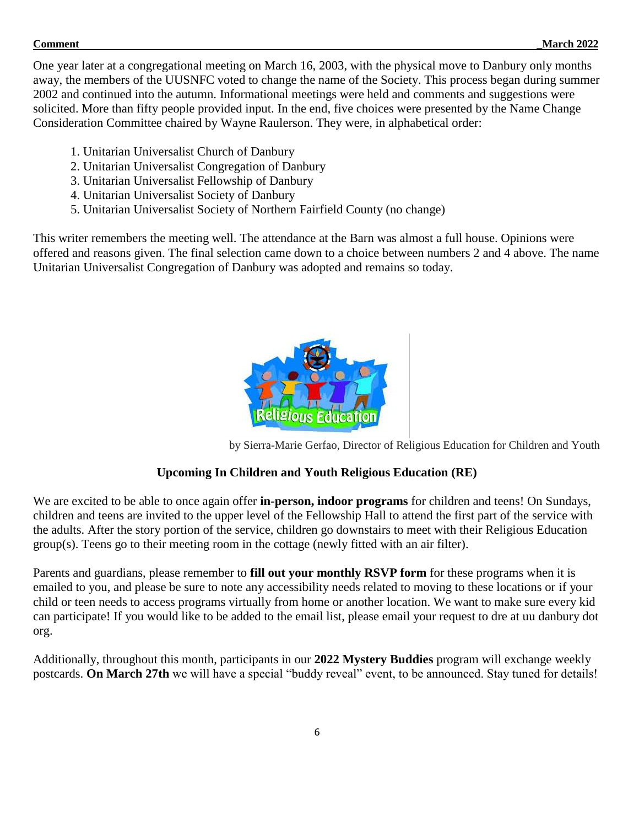One year later at a congregational meeting on March 16, 2003, with the physical move to Danbury only months away, the members of the UUSNFC voted to change the name of the Society. This process began during summer 2002 and continued into the autumn. Informational meetings were held and comments and suggestions were solicited. More than fifty people provided input. In the end, five choices were presented by the Name Change Consideration Committee chaired by Wayne Raulerson. They were, in alphabetical order:

- 1. Unitarian Universalist Church of Danbury
- 2. Unitarian Universalist Congregation of Danbury
- 3. Unitarian Universalist Fellowship of Danbury
- 4. Unitarian Universalist Society of Danbury
- 5. Unitarian Universalist Society of Northern Fairfield County (no change)

This writer remembers the meeting well. The attendance at the Barn was almost a full house. Opinions were offered and reasons given. The final selection came down to a choice between numbers 2 and 4 above. The name Unitarian Universalist Congregation of Danbury was adopted and remains so today.



by Sierra-Marie Gerfao, Director of Religious Education for Children and Youth

## **Upcoming In Children and Youth Religious Education (RE)**

We are excited to be able to once again offer **in-person, indoor programs** for children and teens! On Sundays, children and teens are invited to the upper level of the Fellowship Hall to attend the first part of the service with the adults. After the story portion of the service, children go downstairs to meet with their Religious Education group(s). Teens go to their meeting room in the cottage (newly fitted with an air filter).

Parents and guardians, please remember to **fill out your monthly RSVP form** for these programs when it is emailed to you, and please be sure to note any accessibility needs related to moving to these locations or if your child or teen needs to access programs virtually from home or another location. We want to make sure every kid can participate! If you would like to be added to the email list, please email your request to dre at uu danbury dot org.

Additionally, throughout this month, participants in our **2022 Mystery Buddies** program will exchange weekly postcards. **On March 27th** we will have a special "buddy reveal" event, to be announced. Stay tuned for details!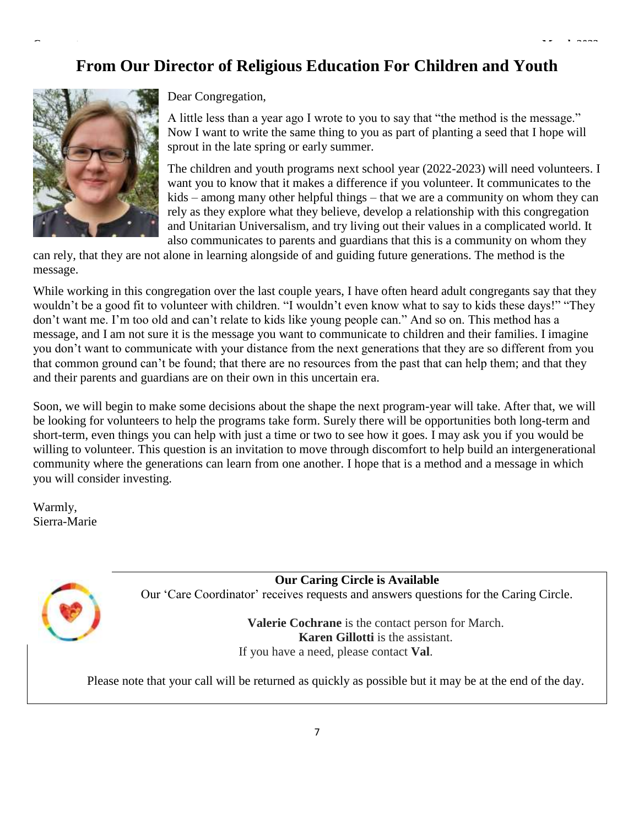**Comment \_March 2022**



Dear Congregation,

A little less than a year ago I wrote to you to say that "the method is the message." Now I want to write the same thing to you as part of planting a seed that I hope will sprout in the late spring or early summer.

The children and youth programs next school year (2022-2023) will need volunteers. I want you to know that it makes a difference if you volunteer. It communicates to the kids – among many other helpful things – that we are a community on whom they can rely as they explore what they believe, develop a relationship with this congregation and Unitarian Universalism, and try living out their values in a complicated world. It also communicates to parents and guardians that this is a community on whom they

can rely, that they are not alone in learning alongside of and guiding future generations. The method is the message.

While working in this congregation over the last couple years, I have often heard adult congregants say that they wouldn't be a good fit to volunteer with children. "I wouldn't even know what to say to kids these days!" "They don't want me. I'm too old and can't relate to kids like young people can." And so on. This method has a message, and I am not sure it is the message you want to communicate to children and their families. I imagine you don't want to communicate with your distance from the next generations that they are so different from you that common ground can't be found; that there are no resources from the past that can help them; and that they and their parents and guardians are on their own in this uncertain era.

Soon, we will begin to make some decisions about the shape the next program-year will take. After that, we will be looking for volunteers to help the programs take form. Surely there will be opportunities both long-term and short-term, even things you can help with just a time or two to see how it goes. I may ask you if you would be willing to volunteer. This question is an invitation to move through discomfort to help build an intergenerational community where the generations can learn from one another. I hope that is a method and a message in which you will consider investing.

Warmly, Sierra-Marie

> **Our Caring Circle is Available** Our 'Care Coordinator' receives requests and answers questions for the Caring Circle.

> > **Valerie Cochrane** is the contact person for March. **Karen Gillotti** is the assistant. If you have a need, please contact **Val**.

Please note that your call will be returned as quickly as possible but it may be at the end of the day.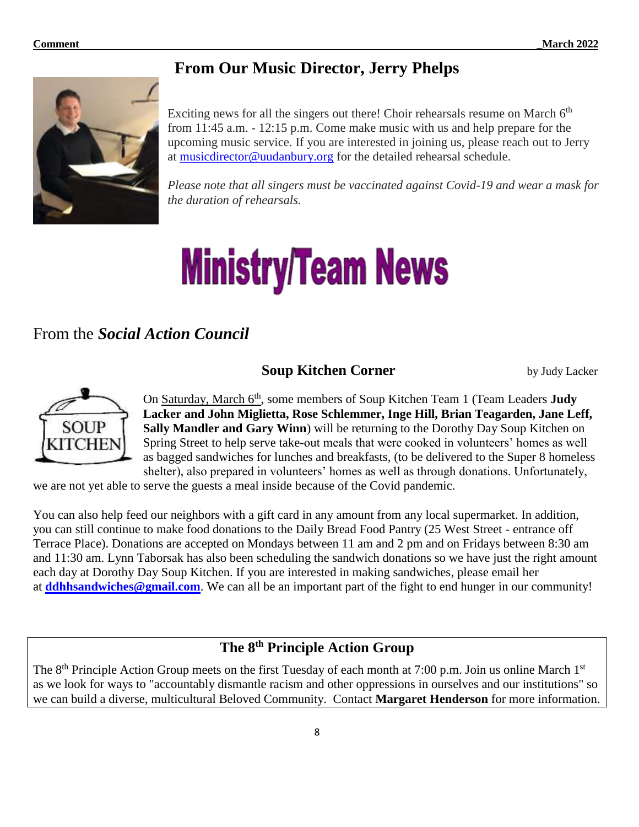# **From Our Music Director, Jerry Phelps**



Exciting news for all the singers out there! Choir rehearsals resume on March  $6<sup>th</sup>$ from 11:45 a.m. - 12:15 p.m. Come make music with us and help prepare for the upcoming music service. If you are interested in joining us, please reach out to Jerry at [musicdirector@uudanbury.org](mailto:musicdirector@uudanbury.org) for the detailed rehearsal schedule.

*Please note that all singers must be vaccinated against Covid-19 and wear a mask for the duration of rehearsals.*

# **Ministry/Team News**

# From the *Social Action Council*

# **Soup Kitchen Corner** by Judy Lacker



On Saturday, March 6<sup>th</sup>, some members of Soup Kitchen Team 1 (Team Leaders **Judy Lacker and John Miglietta, Rose Schlemmer, Inge Hill, Brian Teagarden, Jane Leff, Sally Mandler and Gary Winn**) will be returning to the Dorothy Day Soup Kitchen on Spring Street to help serve take-out meals that were cooked in volunteers' homes as well as bagged sandwiches for lunches and breakfasts, (to be delivered to the Super 8 homeless shelter), also prepared in volunteers' homes as well as through donations. Unfortunately,

we are not yet able to serve the guests a meal inside because of the Covid pandemic.

You can also help feed our neighbors with a gift card in any amount from any local supermarket. In addition, you can still continue to make food donations to the Daily Bread Food Pantry (25 West Street - entrance off Terrace Place). Donations are accepted on Mondays between 11 am and 2 pm and on Fridays between 8:30 am and 11:30 am. Lynn Taborsak has also been scheduling the sandwich donations so we have just the right amount each day at Dorothy Day Soup Kitchen. If you are interested in making sandwiches, please email her at **[ddhhsandwiches@gmail.com](mailto:ddhhsandwiches@gmail.com)**. We can all be an important part of the fight to end hunger in our community!

# **The 8th Principle Action Group**

The  $8<sup>th</sup>$  Principle Action Group meets on the first Tuesday of each month at 7:00 p.m. Join us online March  $1<sup>st</sup>$ as we look for ways to "accountably dismantle racism and other oppressions in ourselves and our institutions" so we can build a diverse, multicultural Beloved Community. Contact **Margaret Henderson** for more information.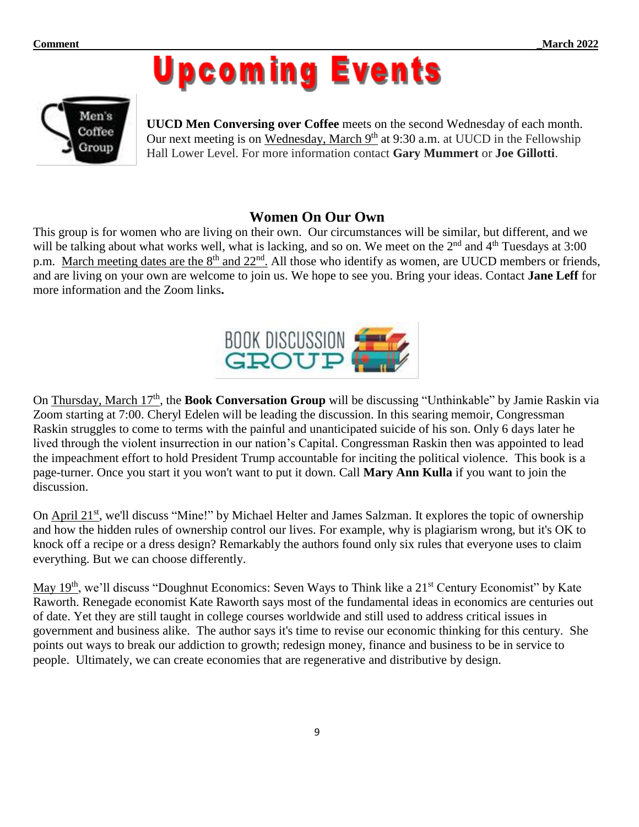



**UUCD Men Conversing over Coffee** meets on the second Wednesday of each month. Our next meeting is on Wednesday, March 9<sup>th</sup> at 9:30 a.m. at UUCD in the Fellowship Hall Lower Level. For more information contact **Gary Mummert** or **Joe Gillotti**.

## **Women On Our Own**

This group is for women who are living on their own. Our circumstances will be similar, but different, and we will be talking about what works well, what is lacking, and so on. We meet on the 2<sup>nd</sup> and 4<sup>th</sup> Tuesdays at 3:00 p.m. March meeting dates are the 8<sup>th</sup> and 22<sup>nd</sup>. All those who identify as women, are UUCD members or friends, and are living on your own are welcome to join us. We hope to see you. Bring your ideas. Contact **Jane Leff** for more information and the Zoom links**.**



On Thursday, March 17<sup>th</sup>, the **Book Conversation Group** will be discussing "Unthinkable" by Jamie Raskin via Zoom starting at 7:00. Cheryl Edelen will be leading the discussion. In this searing memoir, Congressman Raskin struggles to come to terms with the painful and unanticipated suicide of his son. Only 6 days later he lived through the violent insurrection in our nation's Capital. Congressman Raskin then was appointed to lead the impeachment effort to hold President Trump accountable for inciting the political violence. This book is a page-turner. Once you start it you won't want to put it down. Call **Mary Ann Kulla** if you want to join the discussion.

On April 21<sup>st</sup>, we'll discuss "Mine!" by Michael Helter and James Salzman. It explores the topic of ownership and how the hidden rules of ownership control our lives. For example, why is plagiarism wrong, but it's OK to knock off a recipe or a dress design? Remarkably the authors found only six rules that everyone uses to claim everything. But we can choose differently.

May 19<sup>th</sup>, we'll discuss "Doughnut Economics: Seven Ways to Think like a 21<sup>st</sup> Century Economist" by Kate Raworth. Renegade economist Kate Raworth says most of the fundamental ideas in economics are centuries out of date. Yet they are still taught in college courses worldwide and still used to address critical issues in government and business alike. The author says it's time to revise our economic thinking for this century. She points out ways to break our addiction to growth; redesign money, finance and business to be in service to people. Ultimately, we can create economies that are regenerative and distributive by design.